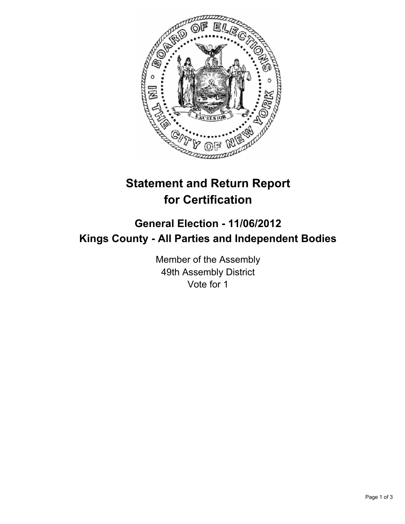

## **Statement and Return Report for Certification**

## **General Election - 11/06/2012 Kings County - All Parties and Independent Bodies**

Member of the Assembly 49th Assembly District Vote for 1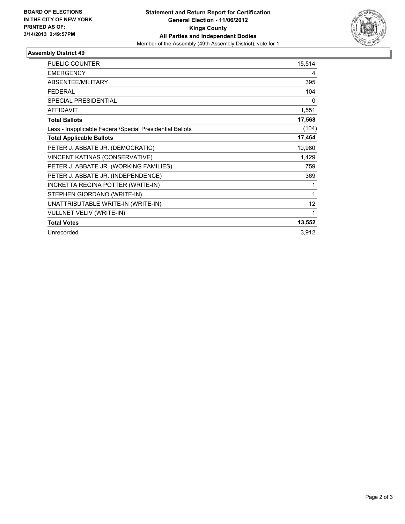

## **Assembly District 49**

| <b>PUBLIC COUNTER</b>                                    | 15,514 |
|----------------------------------------------------------|--------|
| <b>EMERGENCY</b>                                         | 4      |
| <b>ABSENTEE/MILITARY</b>                                 | 395    |
| <b>FEDERAL</b>                                           | 104    |
| <b>SPECIAL PRESIDENTIAL</b>                              | 0      |
| <b>AFFIDAVIT</b>                                         | 1,551  |
| <b>Total Ballots</b>                                     | 17,568 |
| Less - Inapplicable Federal/Special Presidential Ballots | (104)  |
| <b>Total Applicable Ballots</b>                          | 17,464 |
| PETER J. ABBATE JR. (DEMOCRATIC)                         | 10,980 |
| VINCENT KATINAS (CONSERVATIVE)                           | 1,429  |
| PETER J. ABBATE JR. (WORKING FAMILIES)                   | 759    |
| PETER J. ABBATE JR. (INDEPENDENCE)                       | 369    |
| INCRETTA REGINA POTTER (WRITE-IN)                        | 1      |
| STEPHEN GIORDANO (WRITE-IN)                              | 1      |
| UNATTRIBUTABLE WRITE-IN (WRITE-IN)                       | 12     |
| <b>VULLNET VELIV (WRITE-IN)</b>                          | 1      |
| <b>Total Votes</b>                                       | 13,552 |
| Unrecorded                                               | 3,912  |